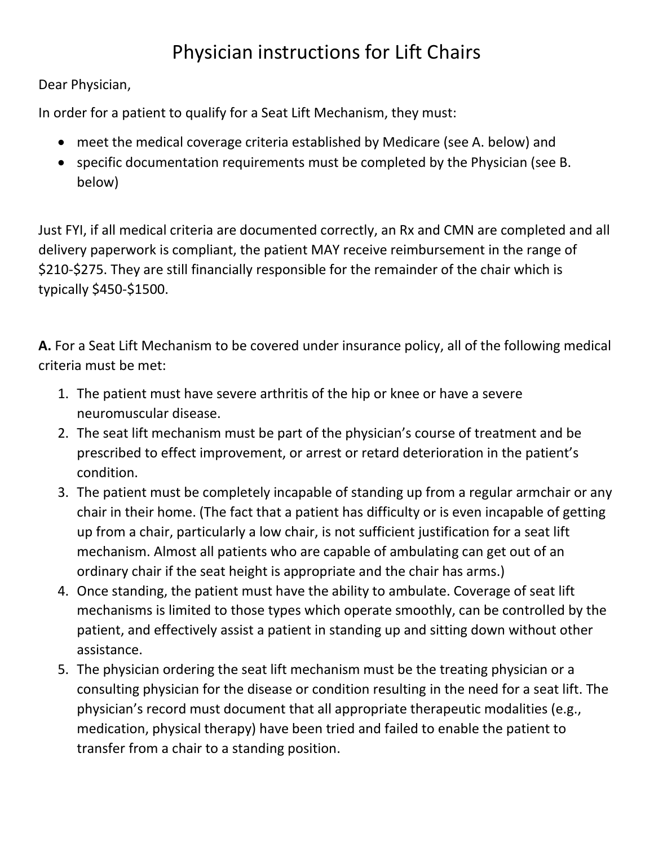## Physician instructions for Lift Chairs

Dear Physician,

In order for a patient to qualify for a Seat Lift Mechanism, they must:

- meet the medical coverage criteria established by Medicare (see A. below) and
- specific documentation requirements must be completed by the Physician (see B. below)

Just FYI, if all medical criteria are documented correctly, an Rx and CMN are completed and all delivery paperwork is compliant, the patient MAY receive reimbursement in the range of \$210-\$275. They are still financially responsible for the remainder of the chair which is typically \$450-\$1500.

**A.** For a Seat Lift Mechanism to be covered under insurance policy, all of the following medical criteria must be met:

- 1. The patient must have severe arthritis of the hip or knee or have a severe neuromuscular disease.
- 2. The seat lift mechanism must be part of the physician's course of treatment and be prescribed to effect improvement, or arrest or retard deterioration in the patient's condition.
- 3. The patient must be completely incapable of standing up from a regular armchair or any chair in their home. (The fact that a patient has difficulty or is even incapable of getting up from a chair, particularly a low chair, is not sufficient justification for a seat lift mechanism. Almost all patients who are capable of ambulating can get out of an ordinary chair if the seat height is appropriate and the chair has arms.)
- 4. Once standing, the patient must have the ability to ambulate. Coverage of seat lift mechanisms is limited to those types which operate smoothly, can be controlled by the patient, and effectively assist a patient in standing up and sitting down without other assistance.
- 5. The physician ordering the seat lift mechanism must be the treating physician or a consulting physician for the disease or condition resulting in the need for a seat lift. The physician's record must document that all appropriate therapeutic modalities (e.g., medication, physical therapy) have been tried and failed to enable the patient to transfer from a chair to a standing position.